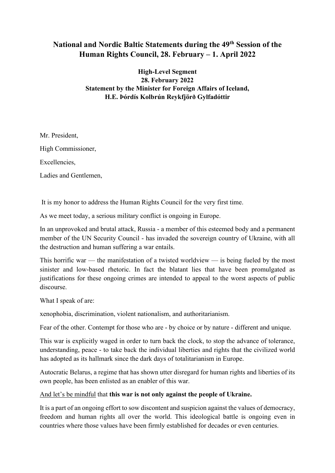# **National and Nordic Baltic Statements during the 49th Session of the Human Rights Council, 28. February – 1. April 2022**

**High-Level Segment 28. February 2022 Statement by the Minister for Foreign Affairs of Iceland, H.E. Þórdís Kolbrún Reykfjörð Gylfadóttir** 

Mr. President,

High Commissioner,

Excellencies,

Ladies and Gentlemen,

It is my honor to address the Human Rights Council for the very first time.

As we meet today, a serious military conflict is ongoing in Europe.

In an unprovoked and brutal attack, Russia - a member of this esteemed body and a permanent member of the UN Security Council - has invaded the sovereign country of Ukraine, with all the destruction and human suffering a war entails.

This horrific war — the manifestation of a twisted worldview — is being fueled by the most sinister and low-based rhetoric. In fact the blatant lies that have been promulgated as justifications for these ongoing crimes are intended to appeal to the worst aspects of public discourse.

What I speak of are:

xenophobia, discrimination, violent nationalism, and authoritarianism.

Fear of the other. Contempt for those who are - by choice or by nature - different and unique.

This war is explicitly waged in order to turn back the clock, to stop the advance of tolerance, understanding, peace - to take back the individual liberties and rights that the civilized world has adopted as its hallmark since the dark days of totalitarianism in Europe.

Autocratic Belarus, a regime that has shown utter disregard for human rights and liberties of its own people, has been enlisted as an enabler of this war.

#### And let's be mindful that **this war is not only against the people of Ukraine.**

It is a part of an ongoing effort to sow discontent and suspicion against the values of democracy, freedom and human rights all over the world. This ideological battle is ongoing even in countries where those values have been firmly established for decades or even centuries.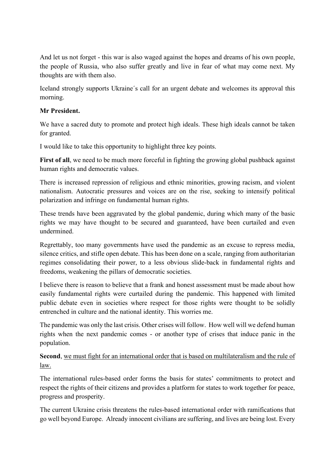And let us not forget - this war is also waged against the hopes and dreams of his own people, the people of Russia, who also suffer greatly and live in fear of what may come next. My thoughts are with them also.

Iceland strongly supports Ukraine´s call for an urgent debate and welcomes its approval this morning.

#### **Mr President.**

We have a sacred duty to promote and protect high ideals. These high ideals cannot be taken for granted.

I would like to take this opportunity to highlight three key points.

**First of all**, we need to be much more forceful in fighting the growing global pushback against human rights and democratic values.

There is increased repression of religious and ethnic minorities, growing racism, and violent nationalism. Autocratic pressures and voices are on the rise, seeking to intensify political polarization and infringe on fundamental human rights.

These trends have been aggravated by the global pandemic, during which many of the basic rights we may have thought to be secured and guaranteed, have been curtailed and even undermined.

Regrettably, too many governments have used the pandemic as an excuse to repress media, silence critics, and stifle open debate. This has been done on a scale, ranging from authoritarian regimes consolidating their power, to a less obvious slide-back in fundamental rights and freedoms, weakening the pillars of democratic societies.

I believe there is reason to believe that a frank and honest assessment must be made about how easily fundamental rights were curtailed during the pandemic. This happened with limited public debate even in societies where respect for those rights were thought to be solidly entrenched in culture and the national identity. This worries me.

The pandemic was only the last crisis. Other crises will follow. How well will we defend human rights when the next pandemic comes - or another type of crises that induce panic in the population.

**Second**, we must fight for an international order that is based on multilateralism and the rule of law.

The international rules-based order forms the basis for states' commitments to protect and respect the rights of their citizens and provides a platform for states to work together for peace, progress and prosperity.

The current Ukraine crisis threatens the rules-based international order with ramifications that go well beyond Europe. Already innocent civilians are suffering, and lives are being lost. Every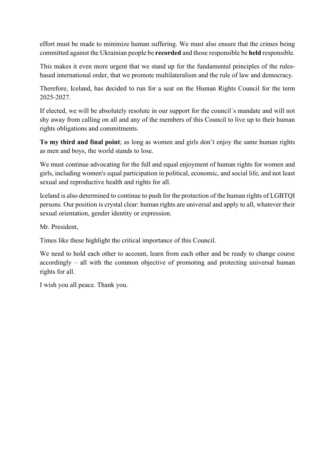effort must be made to minimize human suffering. We must also ensure that the crimes being committed against the Ukrainian people be **recorded** and those responsible be **held** responsible.

This makes it even more urgent that we stand up for the fundamental principles of the rulesbased international order, that we promote multilateralism and the rule of law and democracy.

Therefore, Iceland, has decided to run for a seat on the Human Rights Council for the term 2025-2027.

If elected, we will be absolutely resolute in our support for the council´s mandate and will not shy away from calling on all and any of the members of this Council to live up to their human rights obligations and commitments. 

**To my third and final point**; as long as women and girls don't enjoy the same human rights as men and boys, the world stands to lose.

We must continue advocating for the full and equal enjoyment of human rights for women and girls, including women's equal participation in political, economic, and social life, and not least sexual and reproductive health and rights for all.

Iceland is also determined to continue to push for the protection of the human rights of LGBTQI persons. Our position is crystal clear: human rights are universal and apply to all, whatever their sexual orientation, gender identity or expression.

Mr. President,

Times like these highlight the critical importance of this Council.

We need to hold each other to account, learn from each other and be ready to change course accordingly – all with the common objective of promoting and protecting universal human rights for all.

I wish you all peace. Thank you.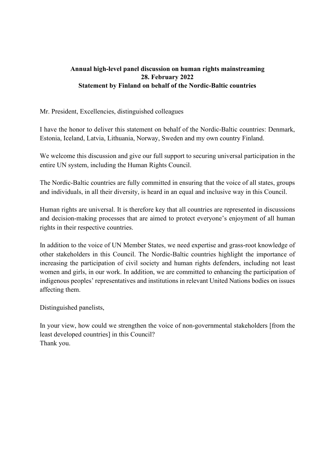#### **Annual high-level panel discussion on human rights mainstreaming 28. February 2022 Statement by Finland on behalf of the Nordic-Baltic countries**

#### Mr. President, Excellencies, distinguished colleagues

I have the honor to deliver this statement on behalf of the Nordic-Baltic countries: Denmark, Estonia, Iceland, Latvia, Lithuania, Norway, Sweden and my own country Finland.

We welcome this discussion and give our full support to securing universal participation in the entire UN system, including the Human Rights Council.

The Nordic-Baltic countries are fully committed in ensuring that the voice of all states, groups and individuals, in all their diversity, is heard in an equal and inclusive way in this Council.

Human rights are universal. It is therefore key that all countries are represented in discussions and decision-making processes that are aimed to protect everyone's enjoyment of all human rights in their respective countries.

In addition to the voice of UN Member States, we need expertise and grass-root knowledge of other stakeholders in this Council. The Nordic-Baltic countries highlight the importance of increasing the participation of civil society and human rights defenders, including not least women and girls, in our work. In addition, we are committed to enhancing the participation of indigenous peoples' representatives and institutions in relevant United Nations bodies on issues affecting them.

Distinguished panelists,

In your view, how could we strengthen the voice of non-governmental stakeholders [from the least developed countries] in this Council? Thank you.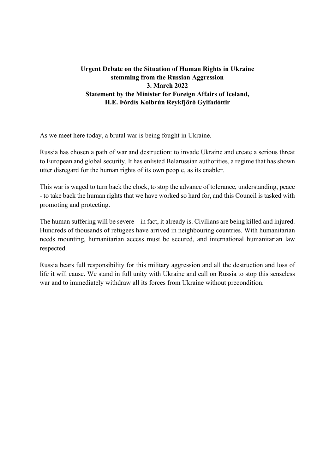#### **Urgent Debate on the Situation of Human Rights in Ukraine stemming from the Russian Aggression 3. March 2022 Statement by the Minister for Foreign Affairs of Iceland, H.E. Þórdís Kolbrún Reykfjörð Gylfadóttir**

As we meet here today, a brutal war is being fought in Ukraine.

Russia has chosen a path of war and destruction: to invade Ukraine and create a serious threat to European and global security. It has enlisted Belarussian authorities, a regime that has shown utter disregard for the human rights of its own people, as its enabler.

This war is waged to turn back the clock, to stop the advance of tolerance, understanding, peace - to take back the human rights that we have worked so hard for, and this Council is tasked with promoting and protecting.

The human suffering will be severe – in fact, it already is. Civilians are being killed and injured. Hundreds of thousands of refugees have arrived in neighbouring countries. With humanitarian needs mounting, humanitarian access must be secured, and international humanitarian law respected.

Russia bears full responsibility for this military aggression and all the destruction and loss of life it will cause. We stand in full unity with Ukraine and call on Russia to stop this senseless war and to immediately withdraw all its forces from Ukraine without precondition.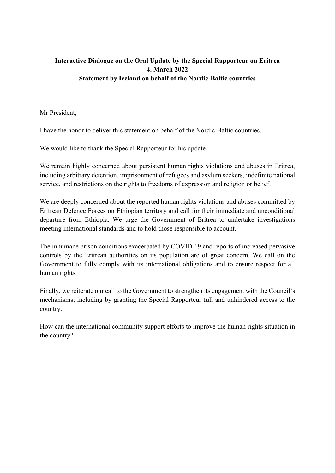# **Interactive Dialogue on the Oral Update by the Special Rapporteur on Eritrea 4. March 2022 Statement by Iceland on behalf of the Nordic-Baltic countries**

Mr President,

I have the honor to deliver this statement on behalf of the Nordic-Baltic countries.

We would like to thank the Special Rapporteur for his update.

We remain highly concerned about persistent human rights violations and abuses in Eritrea, including arbitrary detention, imprisonment of refugees and asylum seekers, indefinite national service, and restrictions on the rights to freedoms of expression and religion or belief.

We are deeply concerned about the reported human rights violations and abuses committed by Eritrean Defence Forces on Ethiopian territory and call for their immediate and unconditional departure from Ethiopia. We urge the Government of Eritrea to undertake investigations meeting international standards and to hold those responsible to account.

The inhumane prison conditions exacerbated by COVID-19 and reports of increased pervasive controls by the Eritrean authorities on its population are of great concern. We call on the Government to fully comply with its international obligations and to ensure respect for all human rights.

Finally, we reiterate our call to the Government to strengthen its engagement with the Council's mechanisms, including by granting the Special Rapporteur full and unhindered access to the country.

How can the international community support efforts to improve the human rights situation in the country?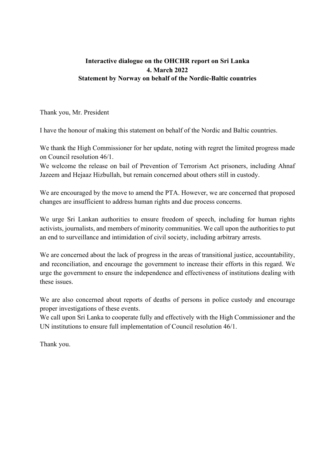#### **Interactive dialogue on the OHCHR report on Sri Lanka 4. March 2022 Statement by Norway on behalf of the Nordic-Baltic countries**

Thank you, Mr. President

I have the honour of making this statement on behalf of the Nordic and Baltic countries.

We thank the High Commissioner for her update, noting with regret the limited progress made on Council resolution 46/1.

We welcome the release on bail of Prevention of Terrorism Act prisoners, including Ahnaf Jazeem and Hejaaz Hizbullah, but remain concerned about others still in custody.

We are encouraged by the move to amend the PTA. However, we are concerned that proposed changes are insufficient to address human rights and due process concerns.

We urge Sri Lankan authorities to ensure freedom of speech, including for human rights activists, journalists, and members of minority communities. We call upon the authorities to put an end to surveillance and intimidation of civil society, including arbitrary arrests.

We are concerned about the lack of progress in the areas of transitional justice, accountability, and reconciliation, and encourage the government to increase their efforts in this regard. We urge the government to ensure the independence and effectiveness of institutions dealing with these issues.

We are also concerned about reports of deaths of persons in police custody and encourage proper investigations of these events.

We call upon Sri Lanka to cooperate fully and effectively with the High Commissioner and the UN institutions to ensure full implementation of Council resolution 46/1.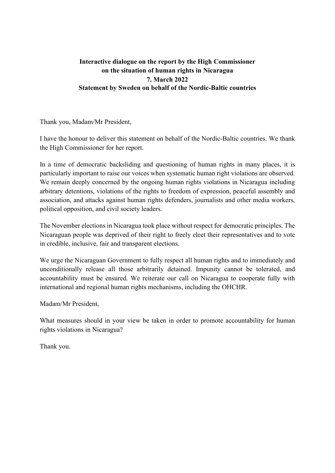## **Interactive dialogue on the report by the High Commissioner on the situation of human rights in Nicaragua 7. March 2022 Statement by Sweden on behalf of the Nordic-Baltic countries**

Thank you, Madam/Mr President,

I have the honour to deliver this statement on behalf of the Nordic-Baltic countries. We thank the High Commissioner for her report.

In a time of democratic backsliding and questioning of human rights in many places, it is particularly important to raise our voices when systematic human right violations are observed. We remain deeply concerned by the ongoing human rights violations in Nicaragua including arbitrary detentions, violations of the rights to freedom of expression, peaceful assembly and association, and attacks against human rights defenders, journalists and other media workers, political opposition, and civil society leaders.

The November elections in Nicaragua took place without respect for democratic principles. The Nicaraguan people was deprived of their right to freely elect their representatives and to vote in credible, inclusive, fair and transparent elections.

We urge the Nicaraguan Government to fully respect all human rights and to immediately and unconditionally release all those arbitrarily detained. Impunity cannot be tolerated, and accountability must be ensured. We reiterate our call on Nicaragua to cooperate fully with international and regional human rights mechanisms, including the OHCHR.

Madam/Mr President,

What measures should in your view be taken in order to promote accountability for human rights violations in Nicaragua?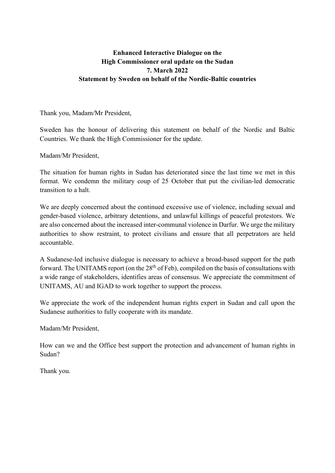### **Enhanced Interactive Dialogue on the High Commissioner oral update on the Sudan 7. March 2022 Statement by Sweden on behalf of the Nordic-Baltic countries**

Thank you, Madam/Mr President,

Sweden has the honour of delivering this statement on behalf of the Nordic and Baltic Countries. We thank the High Commissioner for the update.

Madam/Mr President,

The situation for human rights in Sudan has deteriorated since the last time we met in this format. We condemn the military coup of 25 October that put the civilian-led democratic transition to a halt.

We are deeply concerned about the continued excessive use of violence, including sexual and gender-based violence, arbitrary detentions, and unlawful killings of peaceful protestors. We are also concerned about the increased inter-communal violence in Darfur. We urge the military authorities to show restraint, to protect civilians and ensure that all perpetrators are held accountable.

A Sudanese-led inclusive dialogue is necessary to achieve a broad-based support for the path forward. The UNITAMS report (on the  $28<sup>th</sup>$  of Feb), compiled on the basis of consultations with a wide range of stakeholders, identifies areas of consensus. We appreciate the commitment of UNITAMS, AU and IGAD to work together to support the process.

We appreciate the work of the independent human rights expert in Sudan and call upon the Sudanese authorities to fully cooperate with its mandate.

Madam/Mr President,

How can we and the Office best support the protection and advancement of human rights in Sudan?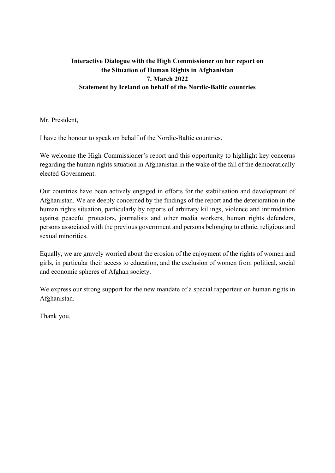## **Interactive Dialogue with the High Commissioner on her report on the Situation of Human Rights in Afghanistan 7. March 2022 Statement by Iceland on behalf of the Nordic-Baltic countries**

Mr. President,

I have the honour to speak on behalf of the Nordic-Baltic countries.

We welcome the High Commissioner's report and this opportunity to highlight key concerns regarding the human rights situation in Afghanistan in the wake of the fall of the democratically elected Government.

Our countries have been actively engaged in efforts for the stabilisation and development of Afghanistan. We are deeply concerned by the findings of the report and the deterioration in the human rights situation, particularly by reports of arbitrary killings, violence and intimidation against peaceful protestors, journalists and other media workers, human rights defenders, persons associated with the previous government and persons belonging to ethnic, religious and sexual minorities.

Equally, we are gravely worried about the erosion of the enjoyment of the rights of women and girls, in particular their access to education, and the exclusion of women from political, social and economic spheres of Afghan society.

We express our strong support for the new mandate of a special rapporteur on human rights in Afghanistan.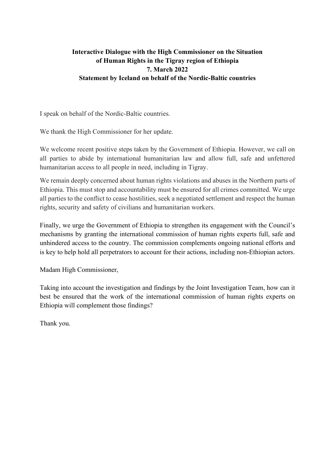# **Interactive Dialogue with the High Commissioner on the Situation of Human Rights in the Tigray region of Ethiopia 7. March 2022 Statement by Iceland on behalf of the Nordic-Baltic countries**

I speak on behalf of the Nordic-Baltic countries.

We thank the High Commissioner for her update.

We welcome recent positive steps taken by the Government of Ethiopia. However, we call on all parties to abide by international humanitarian law and allow full, safe and unfettered humanitarian access to all people in need, including in Tigray.

We remain deeply concerned about human rights violations and abuses in the Northern parts of Ethiopia. This must stop and accountability must be ensured for all crimes committed. We urge all parties to the conflict to cease hostilities, seek a negotiated settlement and respect the human rights, security and safety of civilians and humanitarian workers.

Finally, we urge the Government of Ethiopia to strengthen its engagement with the Council's mechanisms by granting the international commission of human rights experts full, safe and unhindered access to the country. The commission complements ongoing national efforts and is key to help hold all perpetrators to account for their actions, including non-Ethiopian actors.

Madam High Commissioner,

Taking into account the investigation and findings by the Joint Investigation Team, how can it best be ensured that the work of the international commission of human rights experts on Ethiopia will complement those findings?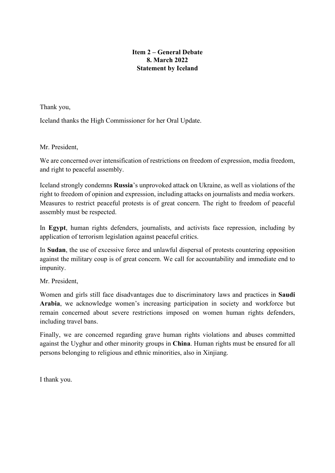#### **Item 2 – General Debate 8. March 2022 Statement by Iceland**

Thank you,

Iceland thanks the High Commissioner for her Oral Update.

Mr. President,

We are concerned over intensification of restrictions on freedom of expression, media freedom, and right to peaceful assembly.

Iceland strongly condemns **Russia**'s unprovoked attack on Ukraine, as well as violations of the right to freedom of opinion and expression, including attacks on journalists and media workers. Measures to restrict peaceful protests is of great concern. The right to freedom of peaceful assembly must be respected.

In **Egypt**, human rights defenders, journalists, and activists face repression, including by application of terrorism legislation against peaceful critics.

In **Sudan**, the use of excessive force and unlawful dispersal of protests countering opposition against the military coup is of great concern. We call for accountability and immediate end to impunity.

Mr. President,

Women and girls still face disadvantages due to discriminatory laws and practices in **Saudi Arabia**, we acknowledge women's increasing participation in society and workforce but remain concerned about severe restrictions imposed on women human rights defenders, including travel bans.

Finally, we are concerned regarding grave human rights violations and abuses committed against the Uyghur and other minority groups in **China**. Human rights must be ensured for all persons belonging to religious and ethnic minorities, also in Xinjiang.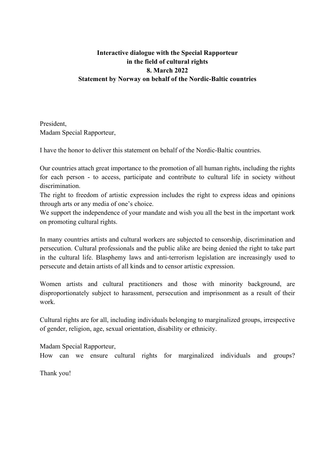## **Interactive dialogue with the Special Rapporteur in the field of cultural rights 8. March 2022 Statement by Norway on behalf of the Nordic-Baltic countries**

President, Madam Special Rapporteur,

I have the honor to deliver this statement on behalf of the Nordic-Baltic countries.

Our countries attach great importance to the promotion of all human rights, including the rights for each person - to access, participate and contribute to cultural life in society without discrimination.

The right to freedom of artistic expression includes the right to express ideas and opinions through arts or any media of one's choice.

We support the independence of your mandate and wish you all the best in the important work on promoting cultural rights.

In many countries artists and cultural workers are subjected to censorship, discrimination and persecution. Cultural professionals and the public alike are being denied the right to take part in the cultural life. Blasphemy laws and anti-terrorism legislation are increasingly used to persecute and detain artists of all kinds and to censor artistic expression.

Women artists and cultural practitioners and those with minority background, are disproportionately subject to harassment, persecution and imprisonment as a result of their work.

Cultural rights are for all, including individuals belonging to marginalized groups, irrespective of gender, religion, age, sexual orientation, disability or ethnicity.

Madam Special Rapporteur,

How can we ensure cultural rights for marginalized individuals and groups?

Thank you!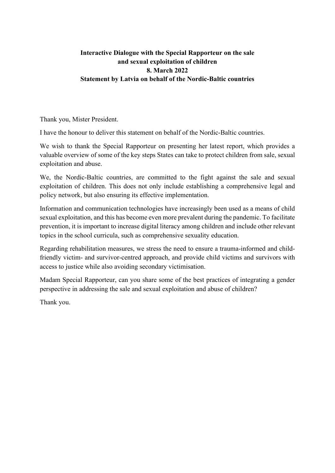## **Interactive Dialogue with the Special Rapporteur on the sale and sexual exploitation of children 8. March 2022 Statement by Latvia on behalf of the Nordic-Baltic countries**

Thank you, Mister President.

I have the honour to deliver this statement on behalf of the Nordic-Baltic countries.

We wish to thank the Special Rapporteur on presenting her latest report, which provides a valuable overview of some of the key steps States can take to protect children from sale, sexual exploitation and abuse.

We, the Nordic-Baltic countries, are committed to the fight against the sale and sexual exploitation of children. This does not only include establishing a comprehensive legal and policy network, but also ensuring its effective implementation.

Information and communication technologies have increasingly been used as a means of child sexual exploitation, and this has become even more prevalent during the pandemic. To facilitate prevention, it is important to increase digital literacy among children and include other relevant topics in the school curricula, such as comprehensive sexuality education.

Regarding rehabilitation measures, we stress the need to ensure a trauma-informed and childfriendly victim- and survivor-centred approach, and provide child victims and survivors with access to justice while also avoiding secondary victimisation.

Madam Special Rapporteur, can you share some of the best practices of integrating a gender perspective in addressing the sale and sexual exploitation and abuse of children?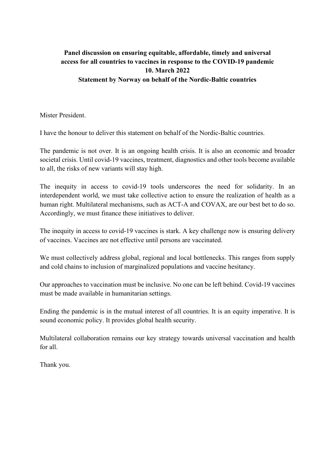# **Panel discussion on ensuring equitable, affordable, timely and universal access for all countries to vaccines in response to the COVID-19 pandemic 10. March 2022 Statement by Norway on behalf of the Nordic-Baltic countries**

Mister President.

I have the honour to deliver this statement on behalf of the Nordic-Baltic countries.

The pandemic is not over. It is an ongoing health crisis. It is also an economic and broader societal crisis. Until covid-19 vaccines, treatment, diagnostics and other tools become available to all, the risks of new variants will stay high.

The inequity in access to covid-19 tools underscores the need for solidarity. In an interdependent world, we must take collective action to ensure the realization of health as a human right. Multilateral mechanisms, such as ACT-A and COVAX, are our best bet to do so. Accordingly, we must finance these initiatives to deliver.

The inequity in access to covid-19 vaccines is stark. A key challenge now is ensuring delivery of vaccines. Vaccines are not effective until persons are vaccinated.

We must collectively address global, regional and local bottlenecks. This ranges from supply and cold chains to inclusion of marginalized populations and vaccine hesitancy.

Our approaches to vaccination must be inclusive. No one can be left behind. Covid-19 vaccines must be made available in humanitarian settings.

Ending the pandemic is in the mutual interest of all countries. It is an equity imperative. It is sound economic policy. It provides global health security.

Multilateral collaboration remains our key strategy towards universal vaccination and health for all.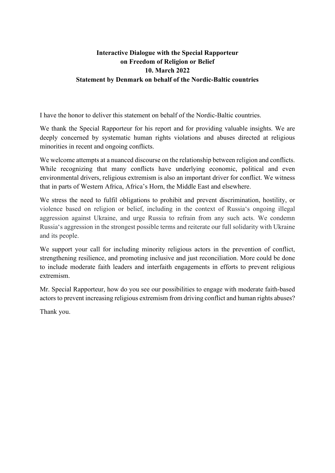## **Interactive Dialogue with the Special Rapporteur on Freedom of Religion or Belief 10. March 2022 Statement by Denmark on behalf of the Nordic-Baltic countries**

I have the honor to deliver this statement on behalf of the Nordic-Baltic countries.

We thank the Special Rapporteur for his report and for providing valuable insights. We are deeply concerned by systematic human rights violations and abuses directed at religious minorities in recent and ongoing conflicts.

We welcome attempts at a nuanced discourse on the relationship between religion and conflicts. While recognizing that many conflicts have underlying economic, political and even environmental drivers, religious extremism is also an important driver for conflict. We witness that in parts of Western Africa, Africa's Horn, the Middle East and elsewhere.

We stress the need to fulfil obligations to prohibit and prevent discrimination, hostility, or violence based on religion or belief, including in the context of Russia's ongoing illegal aggression against Ukraine, and urge Russia to refrain from any such acts. We condemn Russia's aggression in the strongest possible terms and reiterate our full solidarity with Ukraine and its people.

We support your call for including minority religious actors in the prevention of conflict, strengthening resilience, and promoting inclusive and just reconciliation. More could be done to include moderate faith leaders and interfaith engagements in efforts to prevent religious extremism.

Mr. Special Rapporteur, how do you see our possibilities to engage with moderate faith-based actors to prevent increasing religious extremism from driving conflict and human rights abuses?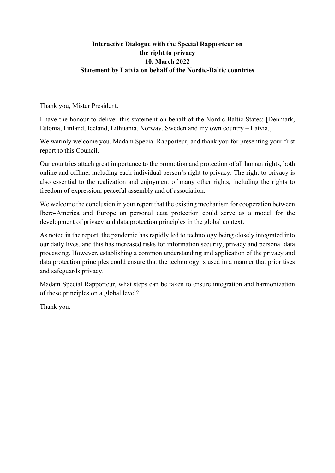### **Interactive Dialogue with the Special Rapporteur on the right to privacy 10. March 2022 Statement by Latvia on behalf of the Nordic-Baltic countries**

Thank you, Mister President.

I have the honour to deliver this statement on behalf of the Nordic-Baltic States: [Denmark, Estonia, Finland, Iceland, Lithuania, Norway, Sweden and my own country – Latvia.]

We warmly welcome you, Madam Special Rapporteur, and thank you for presenting your first report to this Council.

Our countries attach great importance to the promotion and protection of all human rights, both online and offline, including each individual person's right to privacy. The right to privacy is also essential to the realization and enjoyment of many other rights, including the rights to freedom of expression, peaceful assembly and of association.

We welcome the conclusion in your report that the existing mechanism for cooperation between Ibero-America and Europe on personal data protection could serve as a model for the development of privacy and data protection principles in the global context.

As noted in the report, the pandemic has rapidly led to technology being closely integrated into our daily lives, and this has increased risks for information security, privacy and personal data processing. However, establishing a common understanding and application of the privacy and data protection principles could ensure that the technology is used in a manner that prioritises and safeguards privacy.

Madam Special Rapporteur, what steps can be taken to ensure integration and harmonization of these principles on a global level?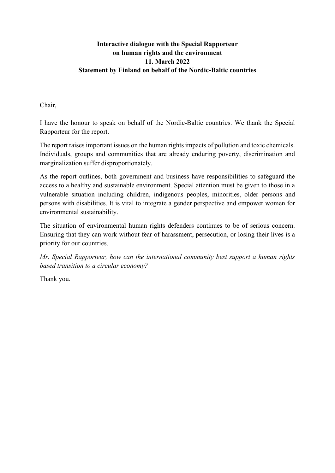### **Interactive dialogue with the Special Rapporteur on human rights and the environment 11. March 2022 Statement by Finland on behalf of the Nordic-Baltic countries**

Chair,

I have the honour to speak on behalf of the Nordic-Baltic countries. We thank the Special Rapporteur for the report.

The report raises important issues on the human rights impacts of pollution and toxic chemicals. Individuals, groups and communities that are already enduring poverty, discrimination and marginalization suffer disproportionately.

As the report outlines, both government and business have responsibilities to safeguard the access to a healthy and sustainable environment. Special attention must be given to those in a vulnerable situation including children, indigenous peoples, minorities, older persons and persons with disabilities. It is vital to integrate a gender perspective and empower women for environmental sustainability.

The situation of environmental human rights defenders continues to be of serious concern. Ensuring that they can work without fear of harassment, persecution, or losing their lives is a priority for our countries.

*Mr. Special Rapporteur, how can the international community best support a human rights based transition to a circular economy?*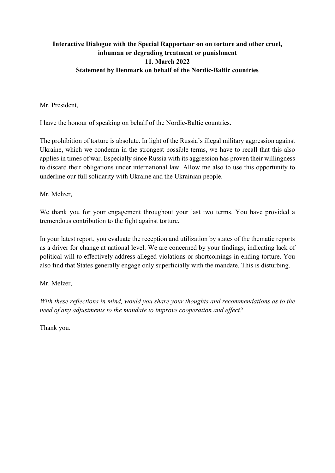### **Interactive Dialogue with the Special Rapporteur on on torture and other cruel, inhuman or degrading treatment or punishment 11. March 2022 Statement by Denmark on behalf of the Nordic-Baltic countries**

Mr. President,

I have the honour of speaking on behalf of the Nordic-Baltic countries.

The prohibition of torture is absolute. In light of the Russia's illegal military aggression against Ukraine, which we condemn in the strongest possible terms, we have to recall that this also applies in times of war. Especially since Russia with its aggression has proven their willingness to discard their obligations under international law. Allow me also to use this opportunity to underline our full solidarity with Ukraine and the Ukrainian people.

Mr. Melzer,

We thank you for your engagement throughout your last two terms. You have provided a tremendous contribution to the fight against torture.

In your latest report, you evaluate the reception and utilization by states of the thematic reports as a driver for change at national level. We are concerned by your findings, indicating lack of political will to effectively address alleged violations or shortcomings in ending torture. You also find that States generally engage only superficially with the mandate. This is disturbing.

Mr. Melzer,

*With these reflections in mind, would you share your thoughts and recommendations as to the need of any adjustments to the mandate to improve cooperation and effect?*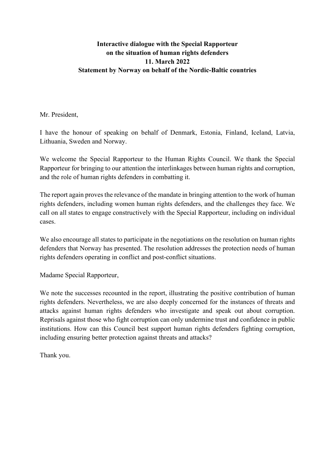#### **Interactive dialogue with the Special Rapporteur on the situation of human rights defenders 11. March 2022 Statement by Norway on behalf of the Nordic-Baltic countries**

Mr. President,

I have the honour of speaking on behalf of Denmark, Estonia, Finland, Iceland, Latvia, Lithuania, Sweden and Norway.

We welcome the Special Rapporteur to the Human Rights Council. We thank the Special Rapporteur for bringing to our attention the interlinkages between human rights and corruption, and the role of human rights defenders in combatting it.

The report again proves the relevance of the mandate in bringing attention to the work of human rights defenders, including women human rights defenders, and the challenges they face. We call on all states to engage constructively with the Special Rapporteur, including on individual cases.

We also encourage all states to participate in the negotiations on the resolution on human rights defenders that Norway has presented. The resolution addresses the protection needs of human rights defenders operating in conflict and post-conflict situations.

Madame Special Rapporteur,

We note the successes recounted in the report, illustrating the positive contribution of human rights defenders. Nevertheless, we are also deeply concerned for the instances of threats and attacks against human rights defenders who investigate and speak out about corruption. Reprisals against those who fight corruption can only undermine trust and confidence in public institutions. How can this Council best support human rights defenders fighting corruption, including ensuring better protection against threats and attacks?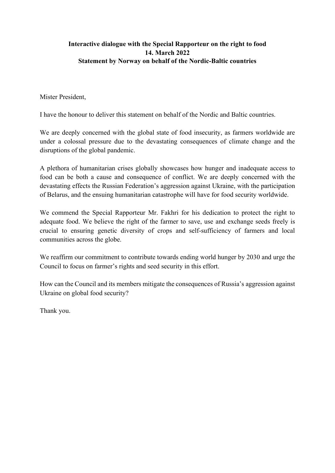### **Interactive dialogue with the Special Rapporteur on the right to food 14. March 2022 Statement by Norway on behalf of the Nordic-Baltic countries**

Mister President,

I have the honour to deliver this statement on behalf of the Nordic and Baltic countries.

We are deeply concerned with the global state of food insecurity, as farmers worldwide are under a colossal pressure due to the devastating consequences of climate change and the disruptions of the global pandemic.

A plethora of humanitarian crises globally showcases how hunger and inadequate access to food can be both a cause and consequence of conflict. We are deeply concerned with the devastating effects the Russian Federation's aggression against Ukraine, with the participation of Belarus, and the ensuing humanitarian catastrophe will have for food security worldwide.

We commend the Special Rapporteur Mr. Fakhri for his dedication to protect the right to adequate food. We believe the right of the farmer to save, use and exchange seeds freely is crucial to ensuring genetic diversity of crops and self-sufficiency of farmers and local communities across the globe.

We reaffirm our commitment to contribute towards ending world hunger by 2030 and urge the Council to focus on farmer's rights and seed security in this effort.

How can the Council and its members mitigate the consequences of Russia's aggression against Ukraine on global food security?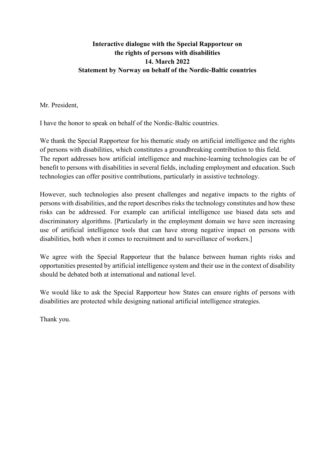#### **Interactive dialogue with the Special Rapporteur on the rights of persons with disabilities 14. March 2022 Statement by Norway on behalf of the Nordic-Baltic countries**

Mr. President,

I have the honor to speak on behalf of the Nordic-Baltic countries.

We thank the Special Rapporteur for his thematic study on artificial intelligence and the rights of persons with disabilities, which constitutes a groundbreaking contribution to this field. The report addresses how artificial intelligence and machine-learning technologies can be of benefit to persons with disabilities in several fields, including employment and education. Such technologies can offer positive contributions, particularly in assistive technology.

However, such technologies also present challenges and negative impacts to the rights of persons with disabilities, and the report describes risks the technology constitutes and how these risks can be addressed. For example can artificial intelligence use biased data sets and discriminatory algorithms. [Particularly in the employment domain we have seen increasing use of artificial intelligence tools that can have strong negative impact on persons with disabilities, both when it comes to recruitment and to surveillance of workers.]

We agree with the Special Rapporteur that the balance between human rights risks and opportunities presented by artificial intelligence system and their use in the context of disability should be debated both at international and national level.

We would like to ask the Special Rapporteur how States can ensure rights of persons with disabilities are protected while designing national artificial intelligence strategies.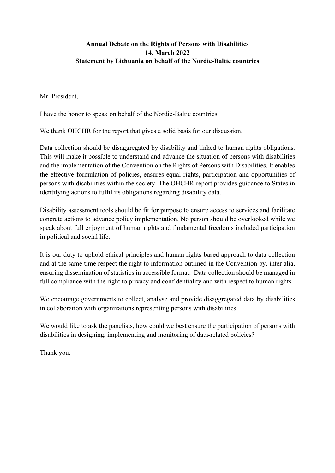#### **Annual Debate on the Rights of Persons with Disabilities 14. March 2022 Statement by Lithuania on behalf of the Nordic-Baltic countries**

Mr. President,

I have the honor to speak on behalf of the Nordic-Baltic countries.

We thank OHCHR for the report that gives a solid basis for our discussion.

Data collection should be disaggregated by disability and linked to human rights obligations. This will make it possible to understand and advance the situation of persons with disabilities and the implementation of the Convention on the Rights of Persons with Disabilities. It enables the effective formulation of policies, ensures equal rights, participation and opportunities of persons with disabilities within the society. The OHCHR report provides guidance to States in identifying actions to fulfil its obligations regarding disability data.

Disability assessment tools should be fit for purpose to ensure access to services and facilitate concrete actions to advance policy implementation. No person should be overlooked while we speak about full enjoyment of human rights and fundamental freedoms included participation in political and social life.

It is our duty to uphold ethical principles and human rights-based approach to data collection and at the same time respect the right to information outlined in the Convention by, inter alia, ensuring dissemination of statistics in accessible format. Data collection should be managed in full compliance with the right to privacy and confidentiality and with respect to human rights.

We encourage governments to collect, analyse and provide disaggregated data by disabilities in collaboration with organizations representing persons with disabilities.

We would like to ask the panelists, how could we best ensure the participation of persons with disabilities in designing, implementing and monitoring of data-related policies?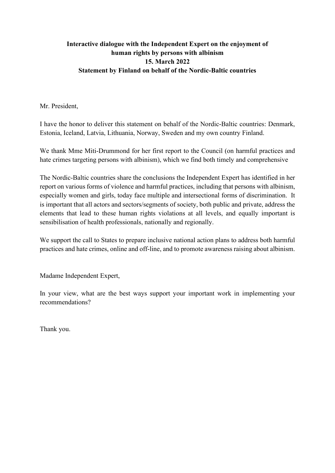## **Interactive dialogue with the Independent Expert on the enjoyment of human rights by persons with albinism 15. March 2022 Statement by Finland on behalf of the Nordic-Baltic countries**

Mr. President,

I have the honor to deliver this statement on behalf of the Nordic-Baltic countries: Denmark, Estonia, Iceland, Latvia, Lithuania, Norway, Sweden and my own country Finland.

We thank Mme Miti-Drummond for her first report to the Council (on harmful practices and hate crimes targeting persons with albinism), which we find both timely and comprehensive

The Nordic-Baltic countries share the conclusions the Independent Expert has identified in her report on various forms of violence and harmful practices, including that persons with albinism, especially women and girls, today face multiple and intersectional forms of discrimination. It is important that all actors and sectors/segments of society, both public and private, address the elements that lead to these human rights violations at all levels, and equally important is sensibilisation of health professionals, nationally and regionally.

We support the call to States to prepare inclusive national action plans to address both harmful practices and hate crimes, online and off-line, and to promote awareness raising about albinism.

Madame Independent Expert,

In your view, what are the best ways support your important work in implementing your recommendations?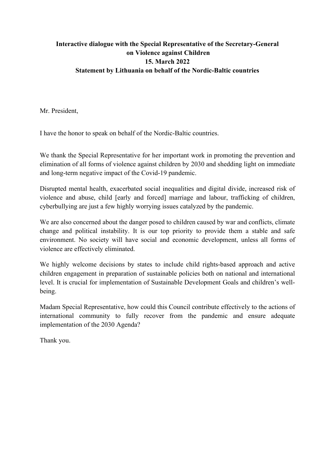## **Interactive dialogue with the Special Representative of the Secretary-General on Violence against Children 15. March 2022 Statement by Lithuania on behalf of the Nordic-Baltic countries**

Mr. President,

I have the honor to speak on behalf of the Nordic-Baltic countries.

We thank the Special Representative for her important work in promoting the prevention and elimination of all forms of violence against children by 2030 and shedding light on immediate and long-term negative impact of the Covid-19 pandemic.

Disrupted mental health, exacerbated social inequalities and digital divide, increased risk of violence and abuse, child [early and forced] marriage and labour, trafficking of children, cyberbullying are just a few highly worrying issues catalyzed by the pandemic.

We are also concerned about the danger posed to children caused by war and conflicts, climate change and political instability. It is our top priority to provide them a stable and safe environment. No society will have social and economic development, unless all forms of violence are effectively eliminated.

We highly welcome decisions by states to include child rights-based approach and active children engagement in preparation of sustainable policies both on national and international level. It is crucial for implementation of Sustainable Development Goals and children's wellbeing.

Madam Special Representative, how could this Council contribute effectively to the actions of international community to fully recover from the pandemic and ensure adequate implementation of the 2030 Agenda?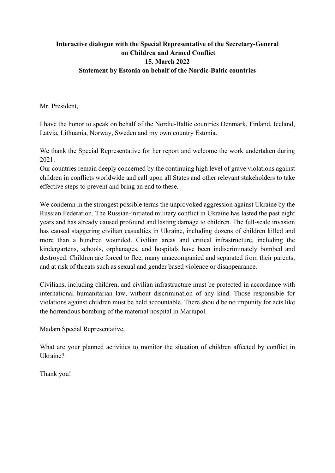## **Interactive dialogue with the Special Representative of the Secretary-General on Children and Armed Conflict 15. March 2022 Statement by Estonia on behalf of the Nordic-Baltic countries**

Mr. President,

I have the honor to speak on behalf of the Nordic-Baltic countries Denmark, Finland, Iceland, Latvia, Lithuania, Norway, Sweden and my own country Estonia.

We thank the Special Representative for her report and welcome the work undertaken during 2021.

Our countries remain deeply concerned by the continuing high level of grave violations against children in conflicts worldwide and call upon all States and other relevant stakeholders to take effective steps to prevent and bring an end to these.

We condemn in the strongest possible terms the unprovoked aggression against Ukraine by the Russian Federation. The Russian-initiated military conflict in Ukraine has lasted the past eight years and has already caused profound and lasting damage to children. The full-scale invasion has caused staggering civilian casualties in Ukraine, including dozens of children killed and more than a hundred wounded. Civilian areas and critical infrastructure, including the kindergartens, schools, orphanages, and hospitals have been indiscriminately bombed and destroyed. Children are forced to flee, many unaccompanied and separated from their parents, and at risk of threats such as sexual and gender based violence or disappearance.

Civilians, including children, and civilian infrastructure must be protected in accordance with international humanitarian law, without discrimination of any kind. Those responsible for violations against children must be held accountable. There should be no impunity for acts like the horrendous bombing of the maternal hospital in Mariupol.

Madam Special Representative,

What are your planned activities to monitor the situation of children affected by conflict in Ukraine?

Thank you!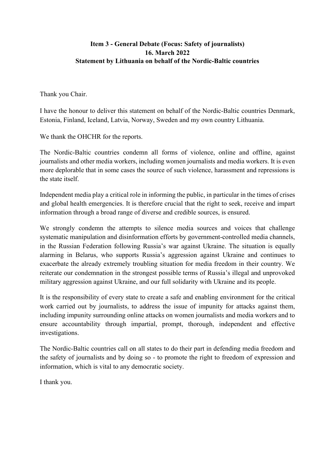#### **Item 3 - General Debate (Focus: Safety of journalists) 16. March 2022 Statement by Lithuania on behalf of the Nordic-Baltic countries**

Thank you Chair.

I have the honour to deliver this statement on behalf of the Nordic-Baltic countries Denmark, Estonia, Finland, Iceland, Latvia, Norway, Sweden and my own country Lithuania.

We thank the OHCHR for the reports.

The Nordic-Baltic countries condemn all forms of violence, online and offline, against journalists and other media workers, including women journalists and media workers. It is even more deplorable that in some cases the source of such violence, harassment and repressions is the state itself.

Independent media play a critical role in informing the public, in particular in the times of crises and global health emergencies. It is therefore crucial that the right to seek, receive and impart information through a broad range of diverse and credible sources, is ensured.

We strongly condemn the attempts to silence media sources and voices that challenge systematic manipulation and disinformation efforts by government-controlled media channels, in the Russian Federation following Russia's war against Ukraine. The situation is equally alarming in Belarus, who supports Russia's aggression against Ukraine and continues to exacerbate the already extremely troubling situation for media freedom in their country. We reiterate our condemnation in the strongest possible terms of Russia's illegal and unprovoked military aggression against Ukraine, and our full solidarity with Ukraine and its people.

It is the responsibility of every state to create a safe and enabling environment for the critical work carried out by journalists, to address the issue of impunity for attacks against them, including impunity surrounding online attacks on women journalists and media workers and to ensure accountability through impartial, prompt, thorough, independent and effective investigations.

The Nordic-Baltic countries call on all states to do their part in defending media freedom and the safety of journalists and by doing so - to promote the right to freedom of expression and information, which is vital to any democratic society.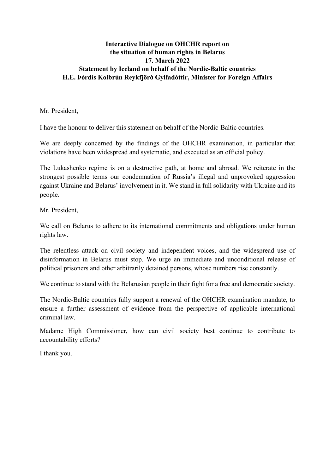#### **Interactive Dialogue on OHCHR report on the situation of human rights in Belarus 17. March 2022 Statement by Iceland on behalf of the Nordic-Baltic countries H.E. Þórdís Kolbrún Reykfjörð Gylfadóttir, Minister for Foreign Affairs**

Mr. President,

I have the honour to deliver this statement on behalf of the Nordic-Baltic countries.

We are deeply concerned by the findings of the OHCHR examination, in particular that violations have been widespread and systematic, and executed as an official policy.

The Lukashenko regime is on a destructive path, at home and abroad. We reiterate in the strongest possible terms our condemnation of Russia's illegal and unprovoked aggression against Ukraine and Belarus' involvement in it. We stand in full solidarity with Ukraine and its people.

Mr. President,

We call on Belarus to adhere to its international commitments and obligations under human rights law.

The relentless attack on civil society and independent voices, and the widespread use of disinformation in Belarus must stop. We urge an immediate and unconditional release of political prisoners and other arbitrarily detained persons, whose numbers rise constantly.

We continue to stand with the Belarusian people in their fight for a free and democratic society.

The Nordic-Baltic countries fully support a renewal of the OHCHR examination mandate, to ensure a further assessment of evidence from the perspective of applicable international criminal law.

Madame High Commissioner, how can civil society best continue to contribute to accountability efforts?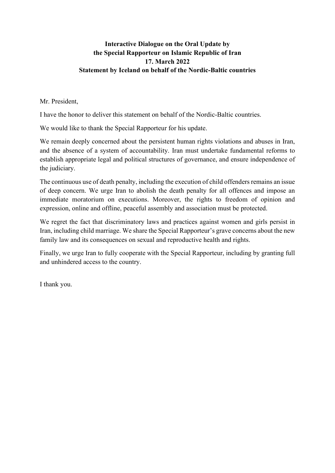### **Interactive Dialogue on the Oral Update by the Special Rapporteur on Islamic Republic of Iran 17. March 2022 Statement by Iceland on behalf of the Nordic-Baltic countries**

Mr. President,

I have the honor to deliver this statement on behalf of the Nordic-Baltic countries.

We would like to thank the Special Rapporteur for his update.

We remain deeply concerned about the persistent human rights violations and abuses in Iran, and the absence of a system of accountability. Iran must undertake fundamental reforms to establish appropriate legal and political structures of governance, and ensure independence of the judiciary.

The continuous use of death penalty, including the execution of child offenders remains an issue of deep concern. We urge Iran to abolish the death penalty for all offences and impose an immediate moratorium on executions. Moreover, the rights to freedom of opinion and expression, online and offline, peaceful assembly and association must be protected.

We regret the fact that discriminatory laws and practices against women and girls persist in Iran, including child marriage. We share the Special Rapporteur's grave concerns about the new family law and its consequences on sexual and reproductive health and rights.

Finally, we urge Iran to fully cooperate with the Special Rapporteur, including by granting full and unhindered access to the country.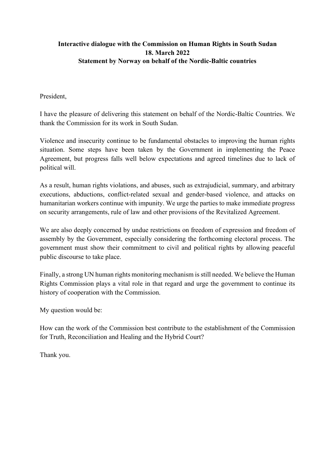### **Interactive dialogue with the Commission on Human Rights in South Sudan 18. March 2022 Statement by Norway on behalf of the Nordic-Baltic countries**

#### President,

I have the pleasure of delivering this statement on behalf of the Nordic-Baltic Countries. We thank the Commission for its work in South Sudan.

Violence and insecurity continue to be fundamental obstacles to improving the human rights situation. Some steps have been taken by the Government in implementing the Peace Agreement, but progress falls well below expectations and agreed timelines due to lack of political will.

As a result, human rights violations, and abuses, such as extrajudicial, summary, and arbitrary executions, abductions, conflict-related sexual and gender-based violence, and attacks on humanitarian workers continue with impunity. We urge the parties to make immediate progress on security arrangements, rule of law and other provisions of the Revitalized Agreement.

We are also deeply concerned by undue restrictions on freedom of expression and freedom of assembly by the Government, especially considering the forthcoming electoral process. The government must show their commitment to civil and political rights by allowing peaceful public discourse to take place.

Finally, a strong UN human rights monitoring mechanism is still needed. We believe the Human Rights Commission plays a vital role in that regard and urge the government to continue its history of cooperation with the Commission.

My question would be:

How can the work of the Commission best contribute to the establishment of the Commission for Truth, Reconciliation and Healing and the Hybrid Court?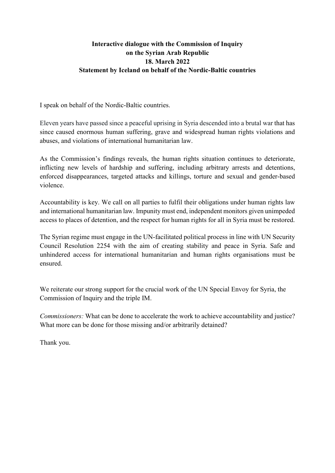### **Interactive dialogue with the Commission of Inquiry on the Syrian Arab Republic 18. March 2022 Statement by Iceland on behalf of the Nordic-Baltic countries**

I speak on behalf of the Nordic-Baltic countries.

Eleven years have passed since a peaceful uprising in Syria descended into a brutal war that has since caused enormous human suffering, grave and widespread human rights violations and abuses, and violations of international humanitarian law.

As the Commission's findings reveals, the human rights situation continues to deteriorate, inflicting new levels of hardship and suffering, including arbitrary arrests and detentions, enforced disappearances, targeted attacks and killings, torture and sexual and gender-based violence.

Accountability is key. We call on all parties to fulfil their obligations under human rights law and international humanitarian law. Impunity must end, independent monitors given unimpeded access to places of detention, and the respect for human rights for all in Syria must be restored.

The Syrian regime must engage in the UN-facilitated political process in line with UN Security Council Resolution 2254 with the aim of creating stability and peace in Syria. Safe and unhindered access for international humanitarian and human rights organisations must be ensured.

We reiterate our strong support for the crucial work of the UN Special Envoy for Syria, the Commission of Inquiry and the triple IM.

*Commissioners:* What can be done to accelerate the work to achieve accountability and justice? What more can be done for those missing and/or arbitrarily detained?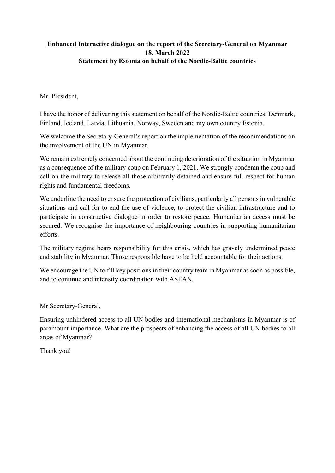### **Enhanced Interactive dialogue on the report of the Secretary-General on Myanmar 18. March 2022 Statement by Estonia on behalf of the Nordic-Baltic countries**

#### Mr. President,

I have the honor of delivering this statement on behalf of the Nordic-Baltic countries: Denmark, Finland, Iceland, Latvia, Lithuania, Norway, Sweden and my own country Estonia.

We welcome the Secretary-General's report on the implementation of the recommendations on the involvement of the UN in Myanmar.

We remain extremely concerned about the continuing deterioration of the situation in Myanmar as a consequence of the military coup on February 1, 2021. We strongly condemn the coup and call on the military to release all those arbitrarily detained and ensure full respect for human rights and fundamental freedoms.

We underline the need to ensure the protection of civilians, particularly all persons in vulnerable situations and call for to end the use of violence, to protect the civilian infrastructure and to participate in constructive dialogue in order to restore peace. Humanitarian access must be secured. We recognise the importance of neighbouring countries in supporting humanitarian efforts.

The military regime bears responsibility for this crisis, which has gravely undermined peace and stability in Myanmar. Those responsible have to be held accountable for their actions.

We encourage the UN to fill key positions in their country team in Myanmar as soon as possible, and to continue and intensify coordination with ASEAN.

Mr Secretary-General,

Ensuring unhindered access to all UN bodies and international mechanisms in Myanmar is of paramount importance. What are the prospects of enhancing the access of all UN bodies to all areas of Myanmar?

Thank you!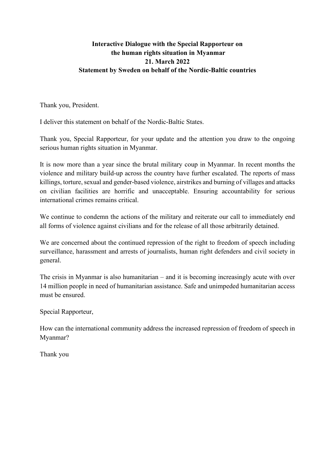#### **Interactive Dialogue with the Special Rapporteur on the human rights situation in Myanmar 21. March 2022 Statement by Sweden on behalf of the Nordic-Baltic countries**

Thank you, President.

I deliver this statement on behalf of the Nordic-Baltic States.

Thank you, Special Rapporteur, for your update and the attention you draw to the ongoing serious human rights situation in Myanmar.

It is now more than a year since the brutal military coup in Myanmar. In recent months the violence and military build-up across the country have further escalated. The reports of mass killings, torture, sexual and gender-based violence, airstrikes and burning of villages and attacks on civilian facilities are horrific and unacceptable. Ensuring accountability for serious international crimes remains critical.

We continue to condemn the actions of the military and reiterate our call to immediately end all forms of violence against civilians and for the release of all those arbitrarily detained.

We are concerned about the continued repression of the right to freedom of speech including surveillance, harassment and arrests of journalists, human right defenders and civil society in general.

The crisis in Myanmar is also humanitarian – and it is becoming increasingly acute with over 14 million people in need of humanitarian assistance. Safe and unimpeded humanitarian access must be ensured.

Special Rapporteur,

How can the international community address the increased repression of freedom of speech in Myanmar?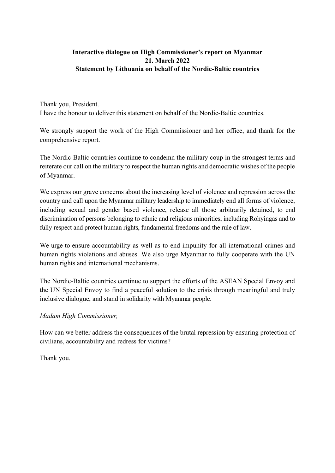### **Interactive dialogue on High Commissioner's report on Myanmar 21. March 2022 Statement by Lithuania on behalf of the Nordic-Baltic countries**

Thank you, President.

I have the honour to deliver this statement on behalf of the Nordic-Baltic countries.

We strongly support the work of the High Commissioner and her office, and thank for the comprehensive report.

The Nordic-Baltic countries continue to condemn the military coup in the strongest terms and reiterate our call on the military to respect the human rights and democratic wishes of the people of Myanmar.

We express our grave concerns about the increasing level of violence and repression across the country and call upon the Myanmar military leadership to immediately end all forms of violence, including sexual and gender based violence, release all those arbitrarily detained, to end discrimination of persons belonging to ethnic and religious minorities, including Rohyingas and to fully respect and protect human rights, fundamental freedoms and the rule of law.

We urge to ensure accountability as well as to end impunity for all international crimes and human rights violations and abuses. We also urge Myanmar to fully cooperate with the UN human rights and international mechanisms.

The Nordic-Baltic countries continue to support the efforts of the ASEAN Special Envoy and the UN Special Envoy to find a peaceful solution to the crisis through meaningful and truly inclusive dialogue, and stand in solidarity with Myanmar people.

#### *Madam High Commissioner,*

How can we better address the consequences of the brutal repression by ensuring protection of civilians, accountability and redress for victims?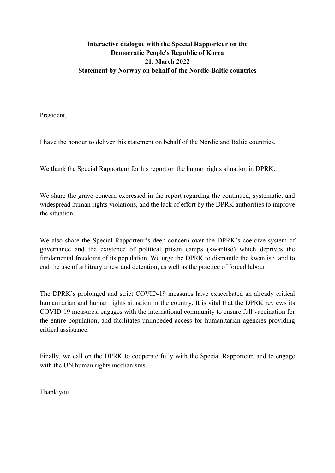### **Interactive dialogue with the Special Rapporteur on the Democratic People's Republic of Korea 21. March 2022 Statement by Norway on behalf of the Nordic-Baltic countries**

President,

I have the honour to deliver this statement on behalf of the Nordic and Baltic countries.

We thank the Special Rapporteur for his report on the human rights situation in DPRK.

We share the grave concern expressed in the report regarding the continued, systematic, and widespread human rights violations, and the lack of effort by the DPRK authorities to improve the situation.

We also share the Special Rapporteur's deep concern over the DPRK's coercive system of governance and the existence of political prison camps (kwanliso) which deprives the fundamental freedoms of its population. We urge the DPRK to dismantle the kwanliso, and to end the use of arbitrary arrest and detention, as well as the practice of forced labour.

The DPRK's prolonged and strict COVID-19 measures have exacerbated an already critical humanitarian and human rights situation in the country. It is vital that the DPRK reviews its COVID-19 measures, engages with the international community to ensure full vaccination for the entire population, and facilitates unimpeded access for humanitarian agencies providing critical assistance.

Finally, we call on the DPRK to cooperate fully with the Special Rapporteur, and to engage with the UN human rights mechanisms.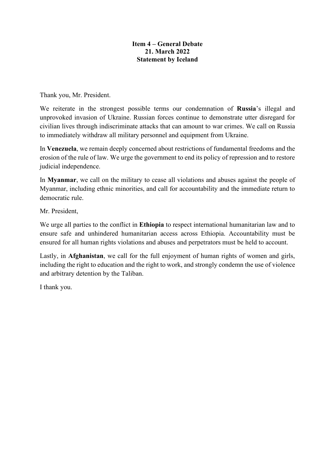#### **Item 4 – General Debate 21. March 2022 Statement by Iceland**

Thank you, Mr. President.

We reiterate in the strongest possible terms our condemnation of **Russia**'s illegal and unprovoked invasion of Ukraine. Russian forces continue to demonstrate utter disregard for civilian lives through indiscriminate attacks that can amount to war crimes. We call on Russia to immediately withdraw all military personnel and equipment from Ukraine.

In **Venezuela**, we remain deeply concerned about restrictions of fundamental freedoms and the erosion of the rule of law. We urge the government to end its policy of repression and to restore judicial independence.

In **Myanmar**, we call on the military to cease all violations and abuses against the people of Myanmar, including ethnic minorities, and call for accountability and the immediate return to democratic rule.

Mr. President,

We urge all parties to the conflict in **Ethiopia** to respect international humanitarian law and to ensure safe and unhindered humanitarian access across Ethiopia. Accountability must be ensured for all human rights violations and abuses and perpetrators must be held to account.

Lastly, in **Afghanistan**, we call for the full enjoyment of human rights of women and girls, including the right to education and the right to work, and strongly condemn the use of violence and arbitrary detention by the Taliban.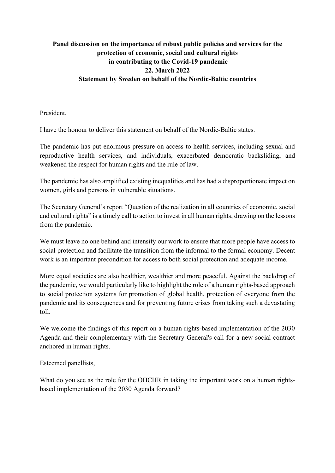# **Panel discussion on the importance of robust public policies and services for the protection of economic, social and cultural rights in contributing to the Covid-19 pandemic 22. March 2022 Statement by Sweden on behalf of the Nordic-Baltic countries**

President,

I have the honour to deliver this statement on behalf of the Nordic-Baltic states.

The pandemic has put enormous pressure on access to health services, including sexual and reproductive health services, and individuals, exacerbated democratic backsliding, and weakened the respect for human rights and the rule of law.

The pandemic has also amplified existing inequalities and has had a disproportionate impact on women, girls and persons in vulnerable situations.

The Secretary General's report "Question of the realization in all countries of economic, social and cultural rights" is a timely call to action to invest in all human rights, drawing on the lessons from the pandemic.

We must leave no one behind and intensify our work to ensure that more people have access to social protection and facilitate the transition from the informal to the formal economy. Decent work is an important precondition for access to both social protection and adequate income.

More equal societies are also healthier, wealthier and more peaceful. Against the backdrop of the pandemic, we would particularly like to highlight the role of a human rights-based approach to social protection systems for promotion of global health, protection of everyone from the pandemic and its consequences and for preventing future crises from taking such a devastating toll.

We welcome the findings of this report on a human rights-based implementation of the 2030 Agenda and their complementary with the Secretary General's call for a new social contract anchored in human rights.

Esteemed panellists,

What do you see as the role for the OHCHR in taking the important work on a human rightsbased implementation of the 2030 Agenda forward?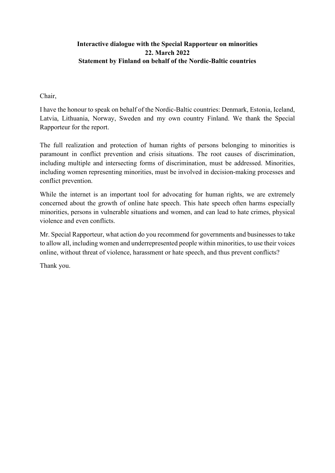### **Interactive dialogue with the Special Rapporteur on minorities 22. March 2022 Statement by Finland on behalf of the Nordic-Baltic countries**

Chair,

I have the honour to speak on behalf of the Nordic-Baltic countries: Denmark, Estonia, Iceland, Latvia, Lithuania, Norway, Sweden and my own country Finland. We thank the Special Rapporteur for the report.

The full realization and protection of human rights of persons belonging to minorities is paramount in conflict prevention and crisis situations. The root causes of discrimination, including multiple and intersecting forms of discrimination, must be addressed. Minorities, including women representing minorities, must be involved in decision-making processes and conflict prevention.

While the internet is an important tool for advocating for human rights, we are extremely concerned about the growth of online hate speech. This hate speech often harms especially minorities, persons in vulnerable situations and women, and can lead to hate crimes, physical violence and even conflicts.

Mr. Special Rapporteur, what action do you recommend for governments and businesses to take to allow all, including women and underrepresented people within minorities, to use their voices online, without threat of violence, harassment or hate speech, and thus prevent conflicts?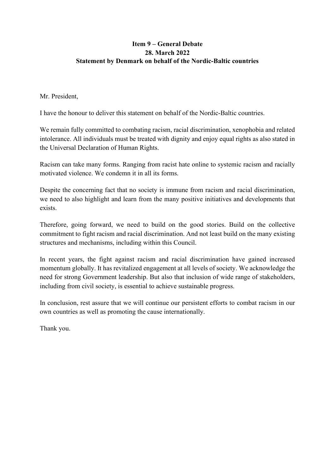### **Item 9 – General Debate 28. March 2022 Statement by Denmark on behalf of the Nordic-Baltic countries**

#### Mr. President,

I have the honour to deliver this statement on behalf of the Nordic-Baltic countries.

We remain fully committed to combating racism, racial discrimination, xenophobia and related intolerance. All individuals must be treated with dignity and enjoy equal rights as also stated in the Universal Declaration of Human Rights.

Racism can take many forms. Ranging from racist hate online to systemic racism and racially motivated violence. We condemn it in all its forms.

Despite the concerning fact that no society is immune from racism and racial discrimination, we need to also highlight and learn from the many positive initiatives and developments that exists.

Therefore, going forward, we need to build on the good stories. Build on the collective commitment to fight racism and racial discrimination. And not least build on the many existing structures and mechanisms, including within this Council.

In recent years, the fight against racism and racial discrimination have gained increased momentum globally. It has revitalized engagement at all levels of society. We acknowledge the need for strong Government leadership. But also that inclusion of wide range of stakeholders, including from civil society, is essential to achieve sustainable progress.

In conclusion, rest assure that we will continue our persistent efforts to combat racism in our own countries as well as promoting the cause internationally.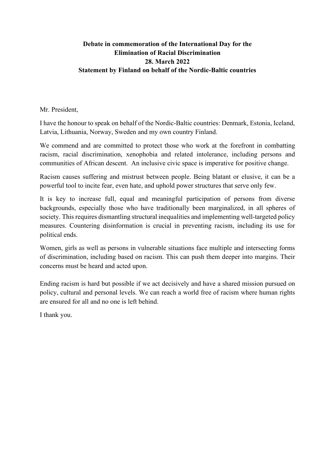### **Debate in commemoration of the International Day for the Elimination of Racial Discrimination 28. March 2022 Statement by Finland on behalf of the Nordic-Baltic countries**

Mr. President,

I have the honour to speak on behalf of the Nordic-Baltic countries: Denmark, Estonia, Iceland, Latvia, Lithuania, Norway, Sweden and my own country Finland.

We commend and are committed to protect those who work at the forefront in combatting racism, racial discrimination, xenophobia and related intolerance, including persons and communities of African descent. An inclusive civic space is imperative for positive change.

Racism causes suffering and mistrust between people. Being blatant or elusive, it can be a powerful tool to incite fear, even hate, and uphold power structures that serve only few.

It is key to increase full, equal and meaningful participation of persons from diverse backgrounds, especially those who have traditionally been marginalized, in all spheres of society. This requires dismantling structural inequalities and implementing well-targeted policy measures. Countering disinformation is crucial in preventing racism, including its use for political ends.

Women, girls as well as persons in vulnerable situations face multiple and intersecting forms of discrimination, including based on racism. This can push them deeper into margins. Their concerns must be heard and acted upon.

Ending racism is hard but possible if we act decisively and have a shared mission pursued on policy, cultural and personal levels. We can reach a world free of racism where human rights are ensured for all and no one is left behind.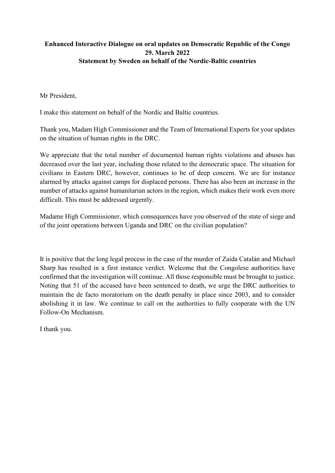## **Enhanced Interactive Dialogue on oral updates on Democratic Republic of the Congo 29. March 2022 Statement by Sweden on behalf of the Nordic-Baltic countries**

Mr President,

I make this statement on behalf of the Nordic and Baltic countries.

Thank you, Madam High Commissioner and the Team of International Experts for your updates on the situation of human rights in the DRC.

We appreciate that the total number of documented human rights violations and abuses has decreased over the last year, including those related to the democratic space. The situation for civilians in Eastern DRC, however, continues to be of deep concern. We are for instance alarmed by attacks against camps for displaced persons. There has also been an increase in the number of attacks against humanitarian actors in the region, which makes their work even more difficult. This must be addressed urgently.

Madame High Commissioner, which consequences have you observed of the state of siege and of the joint operations between Uganda and DRC on the civilian population?

It is positive that the long legal process in the case of the murder of Zaida Catalán and Michael Sharp has resulted in a first instance verdict. Welcome that the Congolese authorities have confirmed that the investigation will continue. All those responsible must be brought to justice. Noting that 51 of the accused have been sentenced to death, we urge the DRC authorities to maintain the de facto moratorium on the death penalty in place since 2003, and to consider abolishing it in law. We continue to call on the authorities to fully cooperate with the UN Follow-On Mechanism.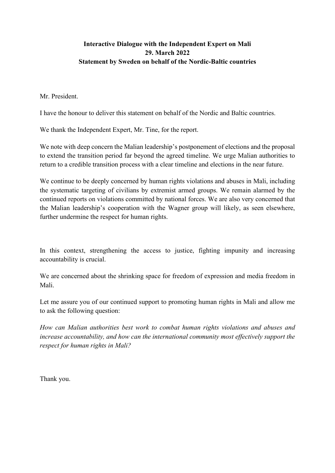## **Interactive Dialogue with the Independent Expert on Mali 29. March 2022 Statement by Sweden on behalf of the Nordic-Baltic countries**

#### Mr. President.

I have the honour to deliver this statement on behalf of the Nordic and Baltic countries.

We thank the Independent Expert, Mr. Tine, for the report.

We note with deep concern the Malian leadership's postponement of elections and the proposal to extend the transition period far beyond the agreed timeline. We urge Malian authorities to return to a credible transition process with a clear timeline and elections in the near future.

We continue to be deeply concerned by human rights violations and abuses in Mali, including the systematic targeting of civilians by extremist armed groups. We remain alarmed by the continued reports on violations committed by national forces. We are also very concerned that the Malian leadership's cooperation with the Wagner group will likely, as seen elsewhere, further undermine the respect for human rights.

In this context, strengthening the access to justice, fighting impunity and increasing accountability is crucial.

We are concerned about the shrinking space for freedom of expression and media freedom in Mali.

Let me assure you of our continued support to promoting human rights in Mali and allow me to ask the following question:

*How can Malian authorities best work to combat human rights violations and abuses and increase accountability, and how can the international community most effectively support the respect for human rights in Mali?*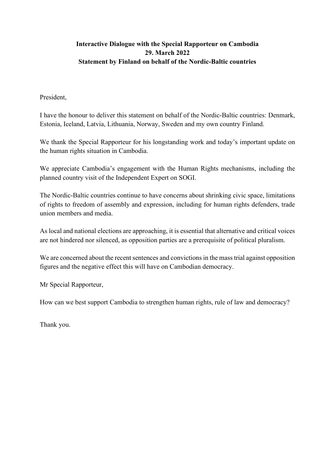# **Interactive Dialogue with the Special Rapporteur on Cambodia 29. March 2022 Statement by Finland on behalf of the Nordic-Baltic countries**

#### President,

I have the honour to deliver this statement on behalf of the Nordic-Baltic countries: Denmark, Estonia, Iceland, Latvia, Lithuania, Norway, Sweden and my own country Finland.

We thank the Special Rapporteur for his longstanding work and today's important update on the human rights situation in Cambodia.

We appreciate Cambodia's engagement with the Human Rights mechanisms, including the planned country visit of the Independent Expert on SOGI.

The Nordic-Baltic countries continue to have concerns about shrinking civic space, limitations of rights to freedom of assembly and expression, including for human rights defenders, trade union members and media.

As local and national elections are approaching, it is essential that alternative and critical voices are not hindered nor silenced, as opposition parties are a prerequisite of political pluralism.

We are concerned about the recent sentences and convictions in the mass trial against opposition figures and the negative effect this will have on Cambodian democracy.

Mr Special Rapporteur,

How can we best support Cambodia to strengthen human rights, rule of law and democracy?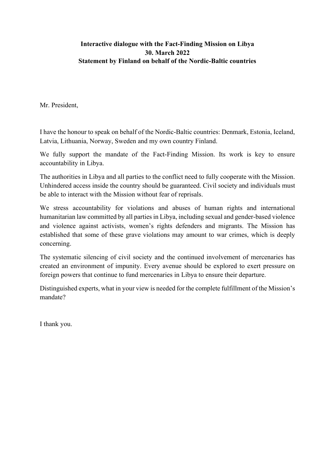#### **Interactive dialogue with the Fact-Finding Mission on Libya 30. March 2022 Statement by Finland on behalf of the Nordic-Baltic countries**

Mr. President,

I have the honour to speak on behalf of the Nordic-Baltic countries: Denmark, Estonia, Iceland, Latvia, Lithuania, Norway, Sweden and my own country Finland.

We fully support the mandate of the Fact-Finding Mission. Its work is key to ensure accountability in Libya.

The authorities in Libya and all parties to the conflict need to fully cooperate with the Mission. Unhindered access inside the country should be guaranteed. Civil society and individuals must be able to interact with the Mission without fear of reprisals.

We stress accountability for violations and abuses of human rights and international humanitarian law committed by all parties in Libya, including sexual and gender-based violence and violence against activists, women's rights defenders and migrants. The Mission has established that some of these grave violations may amount to war crimes, which is deeply concerning.

The systematic silencing of civil society and the continued involvement of mercenaries has created an environment of impunity. Every avenue should be explored to exert pressure on foreign powers that continue to fund mercenaries in Libya to ensure their departure.

Distinguished experts, what in your view is needed for the complete fulfillment of the Mission's mandate?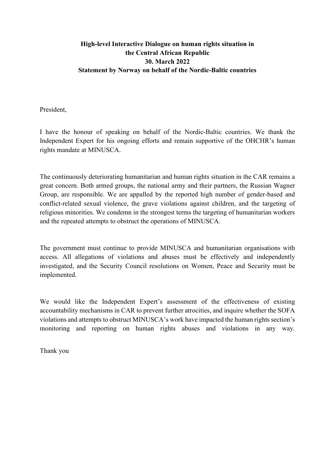### **High-level Interactive Dialogue on human rights situation in the Central African Republic 30. March 2022 Statement by Norway on behalf of the Nordic-Baltic countries**

President,

I have the honour of speaking on behalf of the Nordic-Baltic countries. We thank the Independent Expert for his ongoing efforts and remain supportive of the OHCHR's human rights mandate at MINUSCA.

The continuously deteriorating humanitarian and human rights situation in the CAR remains a great concern. Both armed groups, the national army and their partners, the Russian Wagner Group, are responsible. We are appalled by the reported high number of gender-based and conflict-related sexual violence, the grave violations against children, and the targeting of religious minorities. We condemn in the strongest terms the targeting of humanitarian workers and the repeated attempts to obstruct the operations of MINUSCA.

The government must continue to provide MINUSCA and humanitarian organisations with access. All allegations of violations and abuses must be effectively and independently investigated, and the Security Council resolutions on Women, Peace and Security must be implemented.

We would like the Independent Expert's assessment of the effectiveness of existing accountability mechanisms in CAR to prevent further atrocities, and inquire whether the SOFA violations and attempts to obstruct MINUSCA's work have impacted the human rights section's monitoring and reporting on human rights abuses and violations in any way.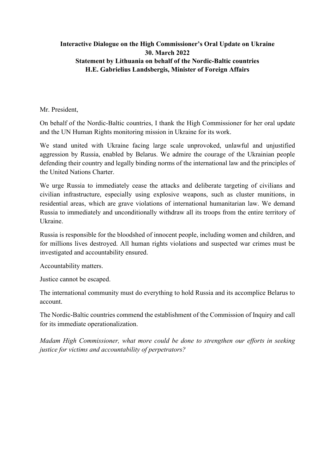#### **Interactive Dialogue on the High Commissioner's Oral Update on Ukraine 30. March 2022 Statement by Lithuania on behalf of the Nordic-Baltic countries H.E. Gabrielius Landsbergis, Minister of Foreign Affairs**

#### Mr. President,

On behalf of the Nordic-Baltic countries, I thank the High Commissioner for her oral update and the UN Human Rights monitoring mission in Ukraine for its work.

We stand united with Ukraine facing large scale unprovoked, unlawful and unjustified aggression by Russia, enabled by Belarus. We admire the courage of the Ukrainian people defending their country and legally binding norms of the international law and the principles of the United Nations Charter.

We urge Russia to immediately cease the attacks and deliberate targeting of civilians and civilian infrastructure, especially using explosive weapons, such as cluster munitions, in residential areas, which are grave violations of international humanitarian law. We demand Russia to immediately and unconditionally withdraw all its troops from the entire territory of Ukraine.

Russia is responsible for the bloodshed of innocent people, including women and children, and for millions lives destroyed. All human rights violations and suspected war crimes must be investigated and accountability ensured.

Accountability matters.

Justice cannot be escaped.

The international community must do everything to hold Russia and its accomplice Belarus to account.

The Nordic-Baltic countries commend the establishment of the Commission of Inquiry and call for its immediate operationalization.

*Madam High Commissioner, what more could be done to strengthen our efforts in seeking justice for victims and accountability of perpetrators?*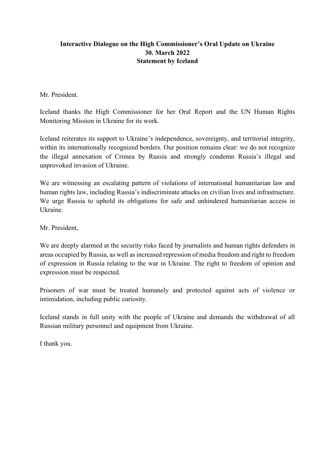#### **Interactive Dialogue on the High Commissioner's Oral Update on Ukraine 30. March 2022 Statement by Iceland**

Mr. President.

Iceland thanks the High Commissioner for her Oral Report and the UN Human Rights Monitoring Mission in Ukraine for its work.

Iceland reiterates its support to Ukraine's independence, sovereignty, and territorial integrity, within its internationally recognized borders. Our position remains clear: we do not recognize the illegal annexation of Crimea by Russia and strongly condemn Russia's illegal and unprovoked invasion of Ukraine.

We are witnessing an escalating pattern of violations of international humanitarian law and human rights law, including Russia's indiscriminate attacks on civilian lives and infrastructure. We urge Russia to uphold its obligations for safe and unhindered humanitarian access in Ukraine.

Mr. President,

We are deeply alarmed at the security risks faced by journalists and human rights defenders in areas occupied by Russia, as well as increased repression of media freedom and right to freedom of expression in Russia relating to the war in Ukraine. The right to freedom of opinion and expression must be respected.

Prisoners of war must be treated humanely and protected against acts of violence or intimidation, including public curiosity.

Iceland stands in full unity with the people of Ukraine and demands the withdrawal of all Russian military personnel and equipment from Ukraine.